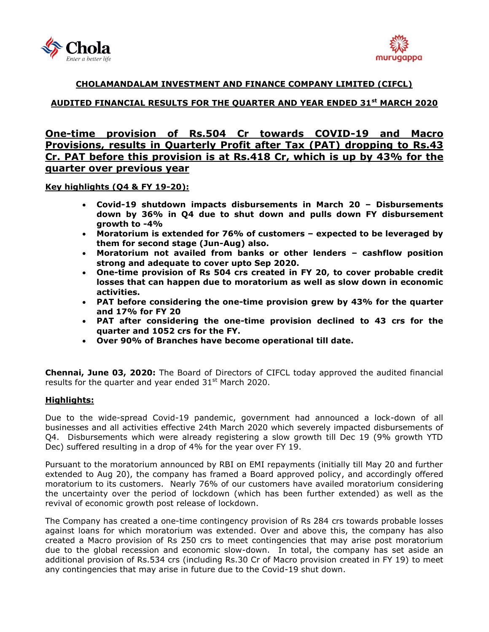



### **CHOLAMANDALAM INVESTMENT AND FINANCE COMPANY LIMITED (CIFCL)**

## **AUDITED FINANCIAL RESULTS FOR THE QUARTER AND YEAR ENDED 31st MARCH 2020**

# **One-time provision of Rs.504 Cr towards COVID-19 and Macro Provisions, results in Quarterly Profit after Tax (PAT) dropping to Rs.43 Cr. PAT before this provision is at Rs.418 Cr, which is up by 43% for the quarter over previous year**

**Key highlights (Q4 & FY 19-20):**

- **Covid-19 shutdown impacts disbursements in March 20 – Disbursements down by 36% in Q4 due to shut down and pulls down FY disbursement growth to -4%**
- **Moratorium is extended for 76% of customers – expected to be leveraged by them for second stage (Jun-Aug) also.**
- **Moratorium not availed from banks or other lenders – cashflow position strong and adequate to cover upto Sep 2020.**
- **One-time provision of Rs 504 crs created in FY 20, to cover probable credit losses that can happen due to moratorium as well as slow down in economic activities.**
- **PAT before considering the one-time provision grew by 43% for the quarter and 17% for FY 20**
- **PAT after considering the one-time provision declined to 43 crs for the quarter and 1052 crs for the FY.**
- **Over 90% of Branches have become operational till date.**

**Chennai, June 03, 2020:** The Board of Directors of [CIFCL](http://www.cholamandalam.com/) today approved the audited financial results for the quarter and year ended  $31<sup>st</sup>$  March 2020.

### **Highlights:**

Due to the wide-spread Covid-19 pandemic, government had announced a lock-down of all businesses and all activities effective 24th March 2020 which severely impacted disbursements of Q4. Disbursements which were already registering a slow growth till Dec 19 (9% growth YTD Dec) suffered resulting in a drop of 4% for the year over FY 19.

Pursuant to the moratorium announced by RBI on EMI repayments (initially till May 20 and further extended to Aug 20), the company has framed a Board approved policy, and accordingly offered moratorium to its customers. Nearly 76% of our customers have availed moratorium considering the uncertainty over the period of lockdown (which has been further extended) as well as the revival of economic growth post release of lockdown.

The Company has created a one-time contingency provision of Rs 284 crs towards probable losses against loans for which moratorium was extended. Over and above this, the company has also created a Macro provision of Rs 250 crs to meet contingencies that may arise post moratorium due to the global recession and economic slow-down. In total, the company has set aside an additional provision of Rs.534 crs (including Rs.30 Cr of Macro provision created in FY 19) to meet any contingencies that may arise in future due to the Covid-19 shut down.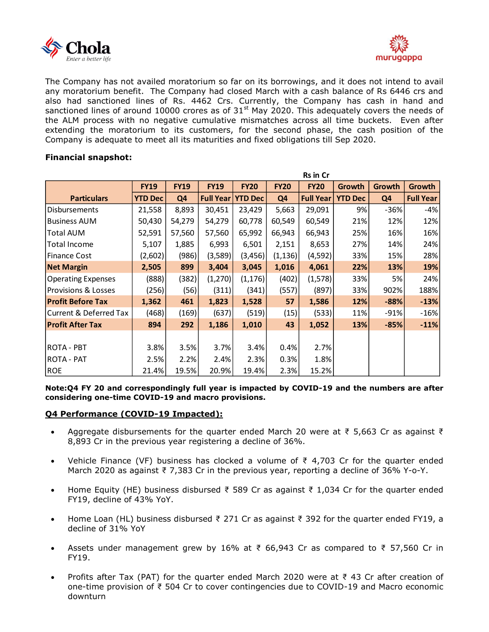



The Company has not availed moratorium so far on its borrowings, and it does not intend to avail any moratorium benefit. The Company had closed March with a cash balance of Rs 6446 crs and also had sanctioned lines of Rs. 4462 Crs. Currently, the Company has cash in hand and sanctioned lines of around 10000 crores as of  $31<sup>st</sup>$  May 2020. This adequately covers the needs of the ALM process with no negative cumulative mismatches across all time buckets. Even after extending the moratorium to its customers, for the second phase, the cash position of the Company is adequate to meet all its maturities and fixed obligations till Sep 2020.

### **Financial snapshot:**

|                           | <b>Rs in Cr</b> |                |                  |                |                |                  |                |                |                  |
|---------------------------|-----------------|----------------|------------------|----------------|----------------|------------------|----------------|----------------|------------------|
|                           | <b>FY19</b>     | <b>FY19</b>    | <b>FY19</b>      | <b>FY20</b>    | <b>FY20</b>    | <b>FY20</b>      | Growth         | <b>Growth</b>  | Growth           |
| <b>Particulars</b>        | <b>YTD Dec</b>  | Q <sub>4</sub> | <b>Full Year</b> | <b>YTD Dec</b> | Q <sub>4</sub> | <b>Full Year</b> | <b>YTD Dec</b> | Q <sub>4</sub> | <b>Full Year</b> |
| <b>Disbursements</b>      | 21,558          | 8,893          | 30,451           | 23,429         | 5,663          | 29,091           | 9%             | -36%           | -4%              |
| <b>Business AUM</b>       | 50,430          | 54,279         | 54,279           | 60,778         | 60,549         | 60,549           | 21%            | 12%            | 12%              |
| Total AUM                 | 52,591          | 57,560         | 57,560           | 65,992         | 66,943         | 66,943           | 25%            | 16%            | 16%              |
| Total Income              | 5,107           | 1,885          | 6,993            | 6,501          | 2,151          | 8,653            | 27%            | 14%            | 24%              |
| <b>Finance Cost</b>       | (2,602)         | (986)          | (3,589)          | (3, 456)       | (1, 136)       | (4,592)          | 33%            | 15%            | 28%              |
| <b>Net Margin</b>         | 2,505           | 899            | 3,404            | 3,045          | 1,016          | 4,061            | 22%            | 13%            | 19%              |
| <b>Operating Expenses</b> | (888)           | (382)          | (1,270)          | (1, 176)       | (402)          | (1,578)          | 33%            | 5%             | 24%              |
| Provisions & Losses       | (256)           | (56)           | (311)            | (341)          | (557)          | (897)            | 33%            | 902%           | 188%             |
| <b>Profit Before Tax</b>  | 1,362           | 461            | 1,823            | 1,528          | 57             | 1,586            | 12%            | $-88%$         | $-13%$           |
| Current & Deferred Tax    | (468)           | (169)          | (637)            | (519)          | (15)           | (533)            | 11%            | -91%           | $-16%$           |
| <b>Profit After Tax</b>   | 894             | 292            | 1,186            | 1,010          | 43             | 1,052            | 13%            | $-85%$         | $-11%$           |
|                           |                 |                |                  |                |                |                  |                |                |                  |
| <b>ROTA - PBT</b>         | 3.8%            | 3.5%           | 3.7%             | 3.4%           | 0.4%           | 2.7%             |                |                |                  |
| ROTA - PAT                | 2.5%            | 2.2%           | 2.4%             | 2.3%           | 0.3%           | 1.8%             |                |                |                  |
| <b>ROE</b>                | 21.4%           | 19.5%          | 20.9%            | 19.4%          | 2.3%           | 15.2%            |                |                |                  |

**Note:Q4 FY 20 and correspondingly full year is impacted by COVID-19 and the numbers are after considering one-time COVID-19 and macro provisions.**

### **Q4 Performance (COVID-19 Impacted):**

- Aggregate disbursements for the quarter ended March 20 were at  $\bar{\tau}$  5,663 Cr as against  $\bar{\tau}$ 8,893 Cr in the previous year registering a decline of 36%.
- Vehicle Finance (VF) business has clocked a volume of ₹ 4,703 Cr for the quarter ended March 2020 as against ₹ 7,383 Cr in the previous year, reporting a decline of 36% Y-o-Y.
- Home Equity (HE) business disbursed ₹ 589 Cr as against ₹ 1,034 Cr for the quarter ended FY19, decline of 43% YoY.
- Home Loan (HL) business disbursed ₹ 271 Cr as against ₹ 392 for the quarter ended FY19, a decline of 31% YoY
- Assets under management grew by 16% at ₹ 66,943 Cr as compared to ₹ 57,560 Cr in FY19.
- Profits after Tax (PAT) for the quarter ended March 2020 were at ₹ 43 Cr after creation of one-time provision of ₹ 504 Cr to cover contingencies due to COVID-19 and Macro economic downturn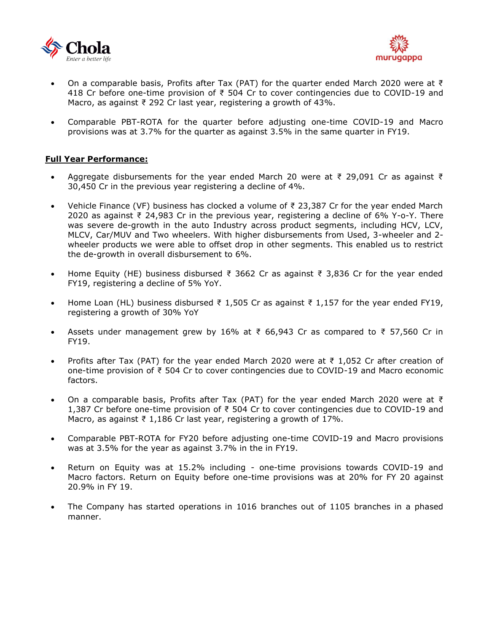



- On a comparable basis, Profits after Tax (PAT) for the quarter ended March 2020 were at ₹ 418 Cr before one-time provision of ₹ 504 Cr to cover contingencies due to COVID-19 and Macro, as against ₹ 292 Cr last year, registering a growth of 43%.
- Comparable PBT-ROTA for the quarter before adjusting one-time COVID-19 and Macro provisions was at 3.7% for the quarter as against 3.5% in the same quarter in FY19.

### **Full Year Performance:**

- Aggregate disbursements for the year ended March 20 were at ₹ 29,091 Cr as against ₹ 30,450 Cr in the previous year registering a decline of 4%.
- Vehicle Finance (VF) business has clocked a volume of ₹ 23,387 Cr for the year ended March 2020 as against ₹ 24,983 Cr in the previous year, registering a decline of 6% Y-o-Y. There was severe de-growth in the auto Industry across product segments, including HCV, LCV, MLCV, Car/MUV and Two wheelers. With higher disbursements from Used, 3-wheeler and 2 wheeler products we were able to offset drop in other segments. This enabled us to restrict the de-growth in overall disbursement to 6%.
- Home Equity (HE) business disbursed ₹ 3662 Cr as against ₹ 3,836 Cr for the year ended FY19, registering a decline of 5% YoY.
- Home Loan (HL) business disbursed ₹ 1,505 Cr as against ₹ 1,157 for the year ended FY19, registering a growth of 30% YoY
- Assets under management grew by 16% at ₹ 66,943 Cr as compared to ₹ 57,560 Cr in FY19.
- Profits after Tax (PAT) for the year ended March 2020 were at  $\bar{\tau}$  1,052 Cr after creation of one-time provision of ₹ 504 Cr to cover contingencies due to COVID-19 and Macro economic factors.
- On a comparable basis, Profits after Tax (PAT) for the year ended March 2020 were at ₹ 1,387 Cr before one-time provision of ₹ 504 Cr to cover contingencies due to COVID-19 and Macro, as against  $\overline{\xi}$  1,186 Cr last year, registering a growth of 17%.
- Comparable PBT-ROTA for FY20 before adjusting one-time COVID-19 and Macro provisions was at 3.5% for the year as against 3.7% in the in FY19.
- Return on Equity was at 15.2% including one-time provisions towards COVID-19 and Macro factors. Return on Equity before one-time provisions was at 20% for FY 20 against 20.9% in FY 19.
- The Company has started operations in 1016 branches out of 1105 branches in a phased manner.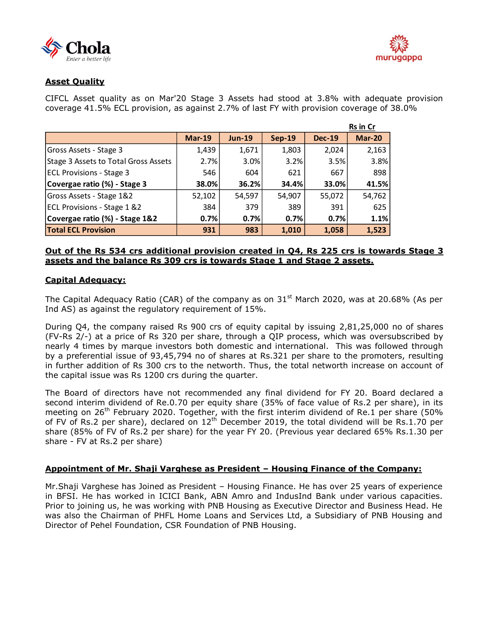



### **Asset Quality**

CIFCL Asset quality as on Mar'20 Stage 3 Assets had stood at 3.8% with adequate provision coverage 41.5% ECL provision, as against 2.7% of last FY with provision coverage of 38.0%

|                                        |               |          |          |               | <b>Rs in Cr</b> |
|----------------------------------------|---------------|----------|----------|---------------|-----------------|
|                                        | <b>Mar-19</b> | $Jun-19$ | $Sep-19$ | <b>Dec-19</b> | <b>Mar-20</b>   |
| Gross Assets - Stage 3                 | 1,439         | 1,671    | 1,803    | 2,024         | 2,163           |
| Stage 3 Assets to Total Gross Assets   | 2.7%          | 3.0%     | 3.2%     | 3.5%          | 3.8%            |
| <b>ECL Provisions - Stage 3</b>        | 546           | 604      | 621      | 667           | 898             |
| Covergae ratio (%) - Stage 3           | 38.0%         | 36.2%    | 34.4%    | 33.0%         | 41.5%           |
| Gross Assets - Stage 1&2               | 52,102        | 54,597   | 54,907   | 55,072        | 54,762          |
| <b>ECL Provisions - Stage 1 &amp;2</b> | 384           | 379      | 389      | 391           | 625             |
| Covergae ratio (%) - Stage 1&2         | 0.7%          | 0.7%     | 0.7%     | 0.7%          | 1.1%            |
| <b>Total ECL Provision</b>             | 931           | 983      | 1.010    | 1,058         | 1,523           |

#### **Out of the Rs 534 crs additional provision created in Q4, Rs 225 crs is towards Stage 3 assets and the balance Rs 309 crs is towards Stage 1 and Stage 2 assets.**

### **Capital Adequacy:**

The Capital Adequacy Ratio (CAR) of the company as on  $31<sup>st</sup>$  March 2020, was at 20.68% (As per Ind AS) as against the regulatory requirement of 15%.

During Q4, the company raised Rs 900 crs of equity capital by issuing 2,81,25,000 no of shares (FV-Rs 2/-) at a price of Rs 320 per share, through a QIP process, which was oversubscribed by nearly 4 times by marque investors both domestic and international. This was followed through by a preferential issue of 93,45,794 no of shares at Rs.321 per share to the promoters, resulting in further addition of Rs 300 crs to the networth. Thus, the total networth increase on account of the capital issue was Rs 1200 crs during the quarter.

The Board of directors have not recommended any final dividend for FY 20. Board declared a second interim dividend of Re.0.70 per equity share (35% of face value of Rs.2 per share), in its meeting on  $26<sup>th</sup>$  February 2020. Together, with the first interim dividend of Re.1 per share (50%) of FV of Rs.2 per share), declared on  $12<sup>th</sup>$  December 2019, the total dividend will be Rs.1.70 per share (85% of FV of Rs.2 per share) for the year FY 20. (Previous year declared 65% Rs.1.30 per share - FV at Rs.2 per share)

### **Appointment of Mr. Shaji Varghese as President – Housing Finance of the Company:**

Mr.Shaji Varghese has Joined as President – Housing Finance. He has over 25 years of experience in BFSI. He has worked in ICICI Bank, ABN Amro and IndusInd Bank under various capacities. Prior to joining us, he was working with PNB Housing as Executive Director and Business Head. He was also the Chairman of PHFL Home Loans and Services Ltd, a Subsidiary of PNB Housing and Director of Pehel Foundation, CSR Foundation of PNB Housing.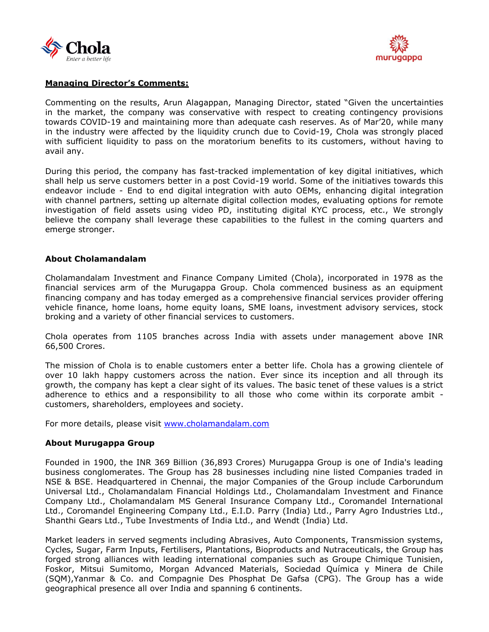



### **Managing Director's Comments:**

Commenting on the results, Arun Alagappan, Managing Director, stated "Given the uncertainties in the market, the company was conservative with respect to creating contingency provisions towards COVID-19 and maintaining more than adequate cash reserves. As of Mar'20, while many in the industry were affected by the liquidity crunch due to Covid-19, Chola was strongly placed with sufficient liquidity to pass on the moratorium benefits to its customers, without having to avail any.

During this period, the company has fast-tracked implementation of key digital initiatives, which shall help us serve customers better in a post Covid-19 world. Some of the initiatives towards this endeavor include - End to end digital integration with auto OEMs, enhancing digital integration with channel partners, setting up alternate digital collection modes, evaluating options for remote investigation of field assets using video PD, instituting digital KYC process, etc., We strongly believe the company shall leverage these capabilities to the fullest in the coming quarters and emerge stronger.

### **About Cholamandalam**

Cholamandalam Investment and Finance Company Limited (Chola), incorporated in 1978 as the financial services arm of the Murugappa Group. Chola commenced business as an equipment financing company and has today emerged as a comprehensive financial services provider offering vehicle finance, home loans, home equity loans, SME loans, investment advisory services, stock broking and a variety of other financial services to customers.

Chola operates from 1105 branches across India with assets under management above INR 66,500 Crores.

The mission of Chola is to enable customers enter a better life. Chola has a growing clientele of over 10 lakh happy customers across the nation. Ever since its inception and all through its growth, the company has kept a clear sight of its values. The basic tenet of these values is a strict adherence to ethics and a responsibility to all those who come within its corporate ambit customers, shareholders, employees and society.

For more details, please visit [www.cholamandalam.com](http://www.cholamandalam.com/)

### **About Murugappa Group**

Founded in 1900, the INR 369 Billion (36,893 Crores) Murugappa Group is one of India's leading business conglomerates. The Group has 28 businesses including nine listed Companies traded in NSE & BSE. Headquartered in Chennai, the major Companies of the Group include Carborundum Universal Ltd., Cholamandalam Financial Holdings Ltd., Cholamandalam Investment and Finance Company Ltd., Cholamandalam MS General Insurance Company Ltd., Coromandel International Ltd., Coromandel Engineering Company Ltd., E.I.D. Parry (India) Ltd., Parry Agro Industries Ltd., Shanthi Gears Ltd., Tube Investments of India Ltd., and Wendt (India) Ltd.

Market leaders in served segments including Abrasives, Auto Components, Transmission systems, Cycles, Sugar, Farm Inputs, Fertilisers, Plantations, Bioproducts and Nutraceuticals, the Group has forged strong alliances with leading international companies such as Groupe Chimique Tunisien, Foskor, Mitsui Sumitomo, Morgan Advanced Materials, Sociedad Química y Minera de Chile (SQM),Yanmar & Co. and Compagnie Des Phosphat De Gafsa (CPG). The Group has a wide geographical presence all over India and spanning 6 continents.